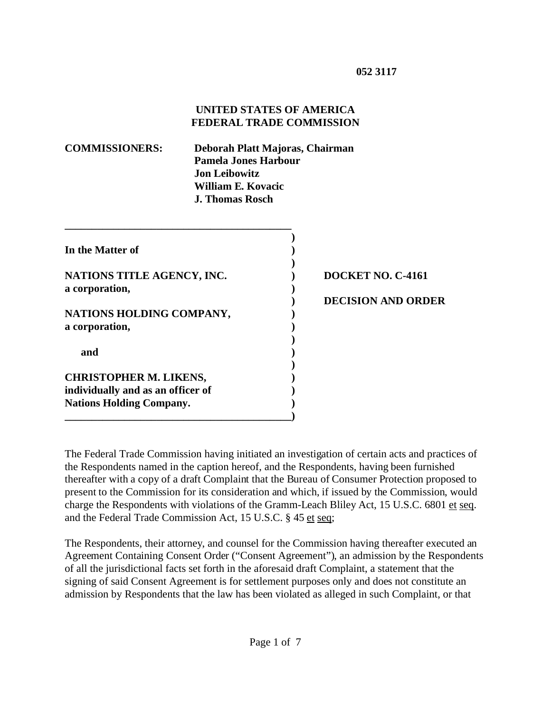### **UNITED STATES OF AMERICA FEDERAL TRADE COMMISSION**

| <b>COMMISSIONERS:</b> | Deborah Platt Majoras, Chairman |
|-----------------------|---------------------------------|
|                       | <b>Pamela Jones Harbour</b>     |
|                       | <b>Jon Leibowitz</b>            |
|                       | William E. Kovacic              |
|                       | <b>J. Thomas Rosch</b>          |

| In the Matter of                           |  |
|--------------------------------------------|--|
| NATIONS TITLE AGENCY, INC.                 |  |
| a corporation,                             |  |
| NATIONS HOLDING COMPANY,<br>a corporation, |  |
| and                                        |  |
| <b>CHRISTOPHER M. LIKENS,</b>              |  |
| individually and as an officer of          |  |
| <b>Nations Holding Company.</b>            |  |

## **NOCKET NO. C-4161**

#### **) DECISION AND ORDER**

The Federal Trade Commission having initiated an investigation of certain acts and practices of the Respondents named in the caption hereof, and the Respondents, having been furnished thereafter with a copy of a draft Complaint that the Bureau of Consumer Protection proposed to present to the Commission for its consideration and which, if issued by the Commission, would charge the Respondents with violations of the Gramm-Leach Bliley Act, 15 U.S.C. 6801 et seq. and the Federal Trade Commission Act, 15 U.S.C. § 45 et seq;

The Respondents, their attorney, and counsel for the Commission having thereafter executed an Agreement Containing Consent Order ("Consent Agreement"), an admission by the Respondents of all the jurisdictional facts set forth in the aforesaid draft Complaint, a statement that the signing of said Consent Agreement is for settlement purposes only and does not constitute an admission by Respondents that the law has been violated as alleged in such Complaint, or that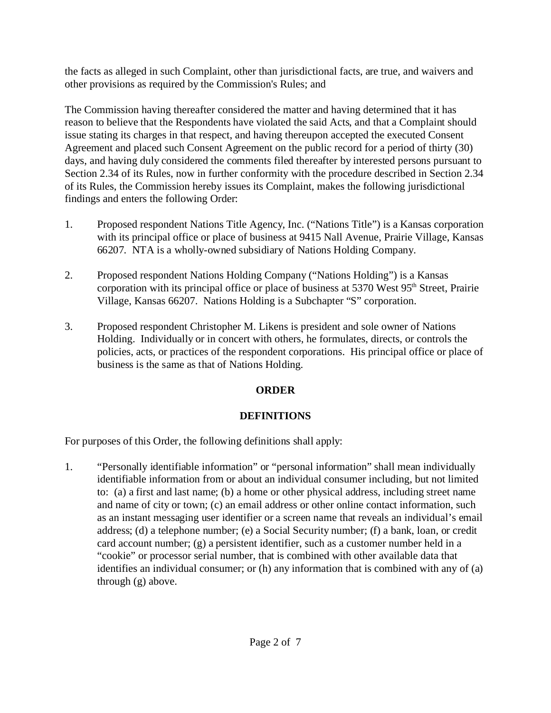the facts as alleged in such Complaint, other than jurisdictional facts, are true, and waivers and other provisions as required by the Commission's Rules; and

The Commission having thereafter considered the matter and having determined that it has reason to believe that the Respondents have violated the said Acts, and that a Complaint should issue stating its charges in that respect, and having thereupon accepted the executed Consent Agreement and placed such Consent Agreement on the public record for a period of thirty (30) days, and having duly considered the comments filed thereafter by interested persons pursuant to Section 2.34 of its Rules, now in further conformity with the procedure described in Section 2.34 of its Rules, the Commission hereby issues its Complaint, makes the following jurisdictional findings and enters the following Order:

- 1. Proposed respondent Nations Title Agency, Inc. ("Nations Title") is a Kansas corporation with its principal office or place of business at 9415 Nall Avenue, Prairie Village, Kansas 66207. NTA is a wholly-owned subsidiary of Nations Holding Company.
- 2. Proposed respondent Nations Holding Company ("Nations Holding") is a Kansas corporation with its principal office or place of business at 5370 West 95<sup>th</sup> Street, Prairie Village, Kansas 66207. Nations Holding is a Subchapter "S" corporation.
- 3. Proposed respondent Christopher M. Likens is president and sole owner of Nations Holding. Individually or in concert with others, he formulates, directs, or controls the policies, acts, or practices of the respondent corporations. His principal office or place of business is the same as that of Nations Holding.

# **ORDER**

# **DEFINITIONS**

For purposes of this Order, the following definitions shall apply:

1. "Personally identifiable information" or "personal information" shall mean individually identifiable information from or about an individual consumer including, but not limited to: (a) a first and last name; (b) a home or other physical address, including street name and name of city or town; (c) an email address or other online contact information, such as an instant messaging user identifier or a screen name that reveals an individual's email address; (d) a telephone number; (e) a Social Security number; (f) a bank, loan, or credit card account number; (g) a persistent identifier, such as a customer number held in a "cookie" or processor serial number, that is combined with other available data that identifies an individual consumer; or (h) any information that is combined with any of (a) through (g) above.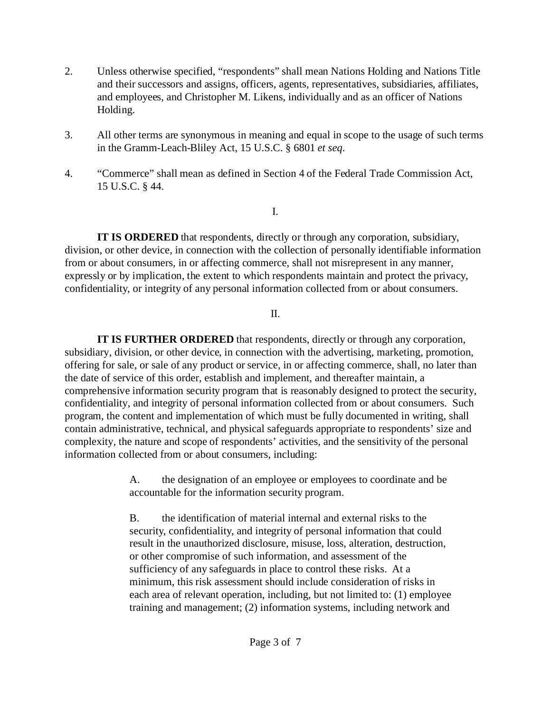- 2. Unless otherwise specified, "respondents" shall mean Nations Holding and Nations Title and their successors and assigns, officers, agents, representatives, subsidiaries, affiliates, and employees, and Christopher M. Likens, individually and as an officer of Nations Holding.
- 3. All other terms are synonymous in meaning and equal in scope to the usage of such terms in the Gramm-Leach-Bliley Act, 15 U.S.C. § 6801 *et seq*.
- 4. "Commerce" shall mean as defined in Section 4 of the Federal Trade Commission Act, 15 U.S.C. § 44.

I.

**IT IS ORDERED** that respondents, directly or through any corporation, subsidiary, division, or other device, in connection with the collection of personally identifiable information from or about consumers, in or affecting commerce, shall not misrepresent in any manner, expressly or by implication, the extent to which respondents maintain and protect the privacy, confidentiality, or integrity of any personal information collected from or about consumers.

### II.

**IT IS FURTHER ORDERED** that respondents, directly or through any corporation, subsidiary, division, or other device, in connection with the advertising, marketing, promotion, offering for sale, or sale of any product or service, in or affecting commerce, shall, no later than the date of service of this order, establish and implement, and thereafter maintain, a comprehensive information security program that is reasonably designed to protect the security, confidentiality, and integrity of personal information collected from or about consumers. Such program, the content and implementation of which must be fully documented in writing, shall contain administrative, technical, and physical safeguards appropriate to respondents' size and complexity, the nature and scope of respondents' activities, and the sensitivity of the personal information collected from or about consumers, including:

> A. the designation of an employee or employees to coordinate and be accountable for the information security program.

B. the identification of material internal and external risks to the security, confidentiality, and integrity of personal information that could result in the unauthorized disclosure, misuse, loss, alteration, destruction, or other compromise of such information, and assessment of the sufficiency of any safeguards in place to control these risks. At a minimum, this risk assessment should include consideration of risks in each area of relevant operation, including, but not limited to: (1) employee training and management; (2) information systems, including network and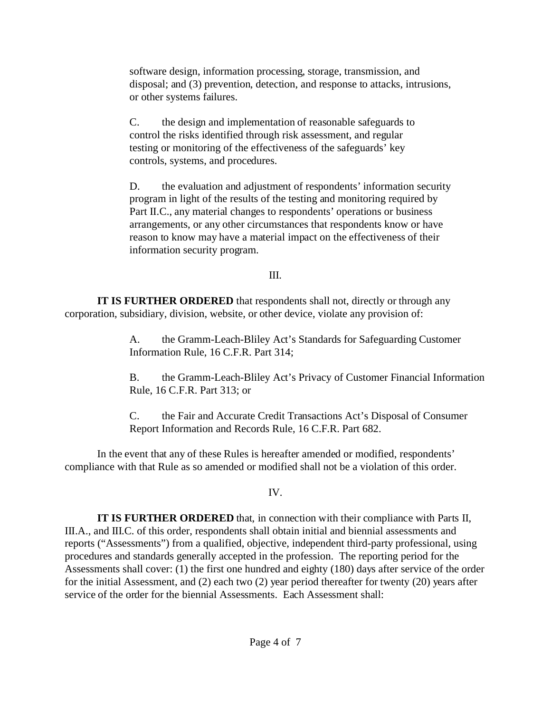software design, information processing, storage, transmission, and disposal; and (3) prevention, detection, and response to attacks, intrusions, or other systems failures.

C. the design and implementation of reasonable safeguards to control the risks identified through risk assessment, and regular testing or monitoring of the effectiveness of the safeguards' key controls, systems, and procedures.

D. the evaluation and adjustment of respondents' information security program in light of the results of the testing and monitoring required by Part II.C., any material changes to respondents' operations or business arrangements, or any other circumstances that respondents know or have reason to know may have a material impact on the effectiveness of their information security program.

## III.

**IT IS FURTHER ORDERED** that respondents shall not, directly or through any corporation, subsidiary, division, website, or other device, violate any provision of:

> A. the Gramm-Leach-Bliley Act's Standards for Safeguarding Customer Information Rule, 16 C.F.R. Part 314;

B. the Gramm-Leach-Bliley Act's Privacy of Customer Financial Information Rule, 16 C.F.R. Part 313; or

C. the Fair and Accurate Credit Transactions Act's Disposal of Consumer Report Information and Records Rule, 16 C.F.R. Part 682.

In the event that any of these Rules is hereafter amended or modified, respondents' compliance with that Rule as so amended or modified shall not be a violation of this order.

## IV.

**IT IS FURTHER ORDERED** that, in connection with their compliance with Parts II, III.A., and III.C. of this order, respondents shall obtain initial and biennial assessments and reports ("Assessments") from a qualified, objective, independent third-party professional, using procedures and standards generally accepted in the profession. The reporting period for the Assessments shall cover: (1) the first one hundred and eighty (180) days after service of the order for the initial Assessment, and (2) each two (2) year period thereafter for twenty (20) years after service of the order for the biennial Assessments. Each Assessment shall: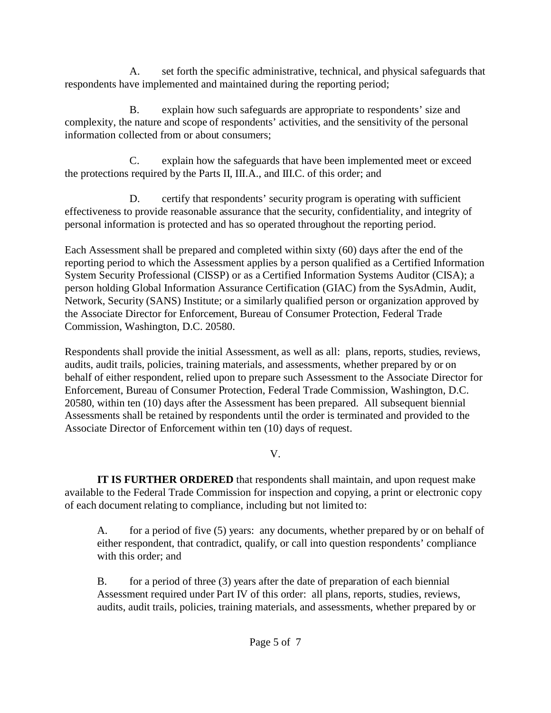A. set forth the specific administrative, technical, and physical safeguards that respondents have implemented and maintained during the reporting period;

B. explain how such safeguards are appropriate to respondents' size and complexity, the nature and scope of respondents' activities, and the sensitivity of the personal information collected from or about consumers;

C. explain how the safeguards that have been implemented meet or exceed the protections required by the Parts II, III.A., and III.C. of this order; and

D. certify that respondents' security program is operating with sufficient effectiveness to provide reasonable assurance that the security, confidentiality, and integrity of personal information is protected and has so operated throughout the reporting period.

Each Assessment shall be prepared and completed within sixty (60) days after the end of the reporting period to which the Assessment applies by a person qualified as a Certified Information System Security Professional (CISSP) or as a Certified Information Systems Auditor (CISA); a person holding Global Information Assurance Certification (GIAC) from the SysAdmin, Audit, Network, Security (SANS) Institute; or a similarly qualified person or organization approved by the Associate Director for Enforcement, Bureau of Consumer Protection, Federal Trade Commission, Washington, D.C. 20580.

Respondents shall provide the initial Assessment, as well as all: plans, reports, studies, reviews, audits, audit trails, policies, training materials, and assessments, whether prepared by or on behalf of either respondent, relied upon to prepare such Assessment to the Associate Director for Enforcement, Bureau of Consumer Protection, Federal Trade Commission, Washington, D.C. 20580, within ten (10) days after the Assessment has been prepared. All subsequent biennial Assessments shall be retained by respondents until the order is terminated and provided to the Associate Director of Enforcement within ten (10) days of request.

## V.

**IT IS FURTHER ORDERED** that respondents shall maintain, and upon request make available to the Federal Trade Commission for inspection and copying, a print or electronic copy of each document relating to compliance, including but not limited to:

A. for a period of five (5) years: any documents, whether prepared by or on behalf of either respondent, that contradict, qualify, or call into question respondents' compliance with this order; and

B. for a period of three (3) years after the date of preparation of each biennial Assessment required under Part IV of this order: all plans, reports, studies, reviews, audits, audit trails, policies, training materials, and assessments, whether prepared by or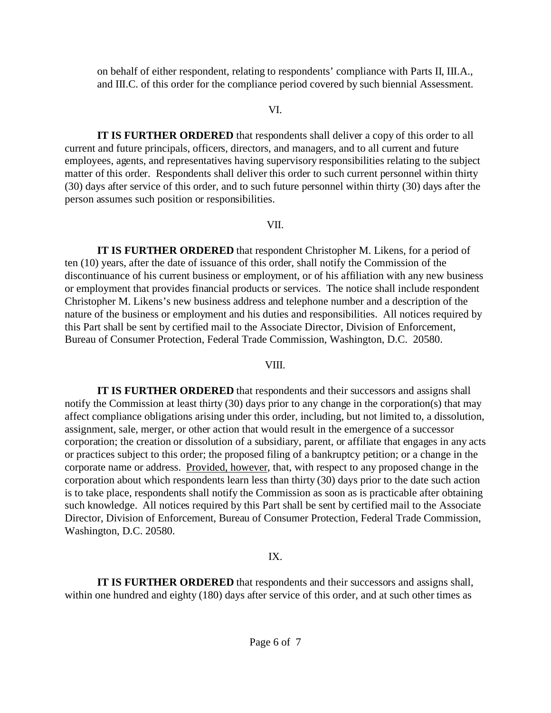on behalf of either respondent, relating to respondents' compliance with Parts II, III.A., and III.C. of this order for the compliance period covered by such biennial Assessment.

#### VI.

**IT IS FURTHER ORDERED** that respondents shall deliver a copy of this order to all current and future principals, officers, directors, and managers, and to all current and future employees, agents, and representatives having supervisory responsibilities relating to the subject matter of this order. Respondents shall deliver this order to such current personnel within thirty (30) days after service of this order, and to such future personnel within thirty (30) days after the person assumes such position or responsibilities.

#### VII.

**IT IS FURTHER ORDERED** that respondent Christopher M. Likens, for a period of ten (10) years, after the date of issuance of this order, shall notify the Commission of the discontinuance of his current business or employment, or of his affiliation with any new business or employment that provides financial products or services. The notice shall include respondent Christopher M. Likens's new business address and telephone number and a description of the nature of the business or employment and his duties and responsibilities. All notices required by this Part shall be sent by certified mail to the Associate Director, Division of Enforcement, Bureau of Consumer Protection, Federal Trade Commission, Washington, D.C. 20580.

#### VIII.

**IT IS FURTHER ORDERED** that respondents and their successors and assigns shall notify the Commission at least thirty (30) days prior to any change in the corporation(s) that may affect compliance obligations arising under this order, including, but not limited to, a dissolution, assignment, sale, merger, or other action that would result in the emergence of a successor corporation; the creation or dissolution of a subsidiary, parent, or affiliate that engages in any acts or practices subject to this order; the proposed filing of a bankruptcy petition; or a change in the corporate name or address. Provided, however, that, with respect to any proposed change in the corporation about which respondents learn less than thirty (30) days prior to the date such action is to take place, respondents shall notify the Commission as soon as is practicable after obtaining such knowledge. All notices required by this Part shall be sent by certified mail to the Associate Director, Division of Enforcement, Bureau of Consumer Protection, Federal Trade Commission, Washington, D.C. 20580.

#### IX.

**IT IS FURTHER ORDERED** that respondents and their successors and assigns shall, within one hundred and eighty (180) days after service of this order, and at such other times as